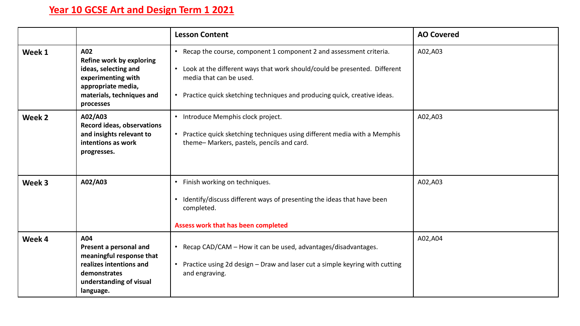## **Year 10 GCSE Art and Design Term 1 2021**

|        |                                                                                                                                               | <b>Lesson Content</b>                                                                                                                                                                                                                                        | <b>AO Covered</b> |
|--------|-----------------------------------------------------------------------------------------------------------------------------------------------|--------------------------------------------------------------------------------------------------------------------------------------------------------------------------------------------------------------------------------------------------------------|-------------------|
| Week 1 | A02<br>Refine work by exploring<br>ideas, selecting and<br>experimenting with<br>appropriate media,<br>materials, techniques and<br>processes | • Recap the course, component 1 component 2 and assessment criteria.<br>• Look at the different ways that work should/could be presented. Different<br>media that can be used.<br>• Practice quick sketching techniques and producing quick, creative ideas. | A02,A03           |
| Week 2 | A02/A03<br><b>Record ideas, observations</b><br>and insights relevant to<br>intentions as work<br>progresses.                                 | • Introduce Memphis clock project.<br>• Practice quick sketching techniques using different media with a Memphis<br>theme-Markers, pastels, pencils and card.                                                                                                | A02,A03           |
| Week 3 | A02/A03                                                                                                                                       | • Finish working on techniques.<br>• Identify/discuss different ways of presenting the ideas that have been<br>completed.<br>Assess work that has been completed                                                                                             | A02,A03           |
| Week 4 | A04<br>Present a personal and<br>meaningful response that<br>realizes intentions and<br>demonstrates<br>understanding of visual<br>language.  | • Recap CAD/CAM - How it can be used, advantages/disadvantages.<br>• Practice using 2d design - Draw and laser cut a simple keyring with cutting<br>and engraving.                                                                                           | A02,A04           |